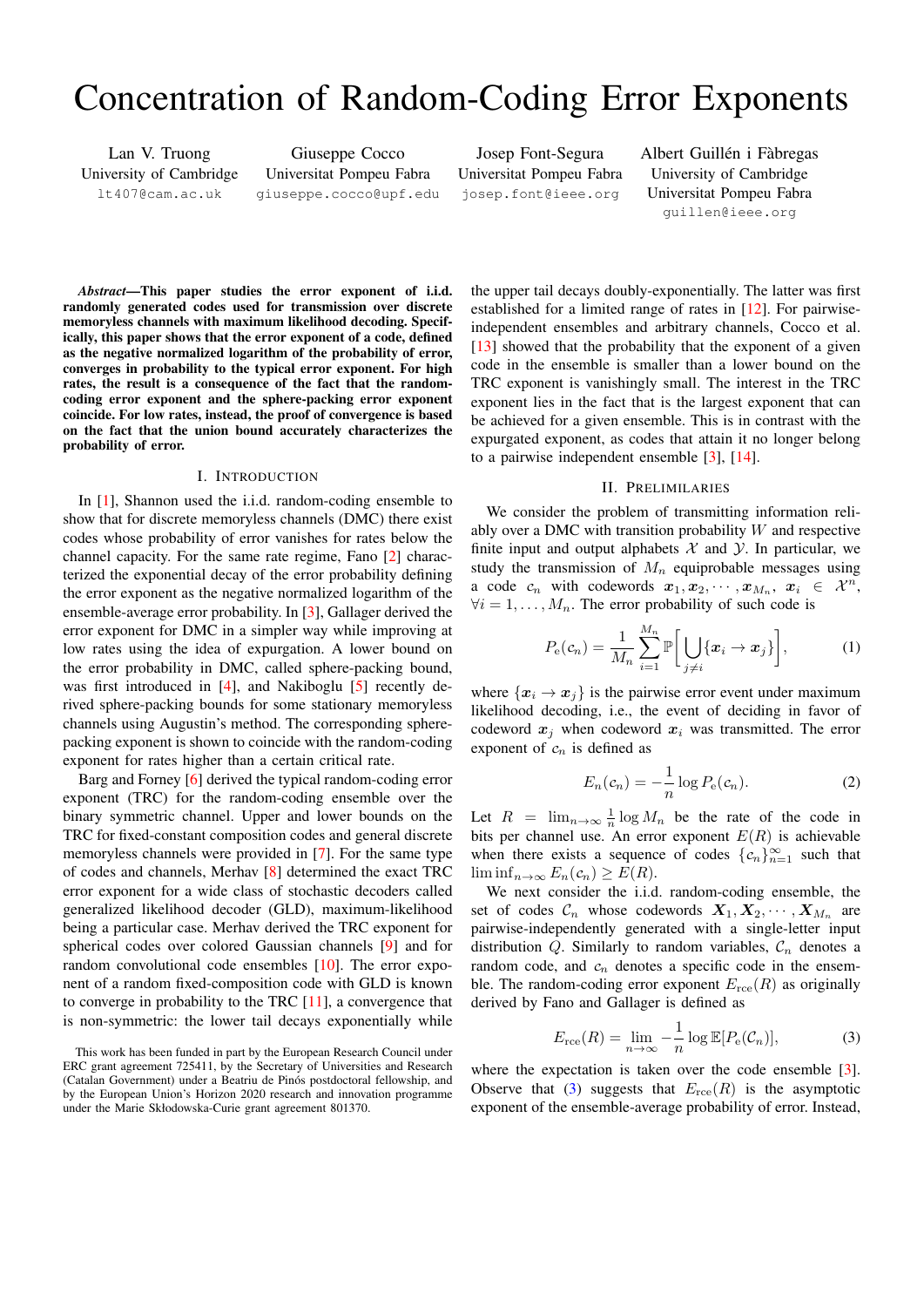# Concentration of Random-Coding Error Exponents

Lan V. Truong University of Cambridge lt407@cam.ac.uk

Giuseppe Cocco Universitat Pompeu Fabra giuseppe.cocco@upf.edu

Josep Font-Segura Universitat Pompeu Fabra josep.font@ieee.org

Albert Guillén i Fàbregas University of Cambridge Universitat Pompeu Fabra guillen@ieee.org

*Abstract*—This paper studies the error exponent of i.i.d. randomly generated codes used for transmission over discrete memoryless channels with maximum likelihood decoding. Specifically, this paper shows that the error exponent of a code, defined as the negative normalized logarithm of the probability of error, converges in probability to the typical error exponent. For high rates, the result is a consequence of the fact that the randomcoding error exponent and the sphere-packing error exponent coincide. For low rates, instead, the proof of convergence is based on the fact that the union bound accurately characterizes the probability of error.

## I. INTRODUCTION

In [\[1\]](#page-4-0), Shannon used the i.i.d. random-coding ensemble to show that for discrete memoryless channels (DMC) there exist codes whose probability of error vanishes for rates below the channel capacity. For the same rate regime, Fano [\[2\]](#page-4-1) characterized the exponential decay of the error probability defining the error exponent as the negative normalized logarithm of the ensemble-average error probability. In [\[3\]](#page-4-2), Gallager derived the error exponent for DMC in a simpler way while improving at low rates using the idea of expurgation. A lower bound on the error probability in DMC, called sphere-packing bound, was first introduced in [\[4\]](#page-4-3), and Nakiboglu [\[5\]](#page-4-4) recently derived sphere-packing bounds for some stationary memoryless channels using Augustin's method. The corresponding spherepacking exponent is shown to coincide with the random-coding exponent for rates higher than a certain critical rate.

Barg and Forney [\[6\]](#page-4-5) derived the typical random-coding error exponent (TRC) for the random-coding ensemble over the binary symmetric channel. Upper and lower bounds on the TRC for fixed-constant composition codes and general discrete memoryless channels were provided in [\[7\]](#page-4-6). For the same type of codes and channels, Merhav [\[8\]](#page-4-7) determined the exact TRC error exponent for a wide class of stochastic decoders called generalized likelihood decoder (GLD), maximum-likelihood being a particular case. Merhav derived the TRC exponent for spherical codes over colored Gaussian channels [\[9\]](#page-4-8) and for random convolutional code ensembles [\[10\]](#page-4-9). The error exponent of a random fixed-composition code with GLD is known to converge in probability to the TRC [\[11\]](#page-4-10), a convergence that is non-symmetric: the lower tail decays exponentially while

the upper tail decays doubly-exponentially. The latter was first established for a limited range of rates in [\[12\]](#page-4-11). For pairwiseindependent ensembles and arbitrary channels, Cocco et al. [\[13\]](#page-4-12) showed that the probability that the exponent of a given code in the ensemble is smaller than a lower bound on the TRC exponent is vanishingly small. The interest in the TRC exponent lies in the fact that is the largest exponent that can be achieved for a given ensemble. This is in contrast with the expurgated exponent, as codes that attain it no longer belong to a pairwise independent ensemble [\[3\]](#page-4-2), [\[14\]](#page-4-13).

## <span id="page-0-1"></span>II. PRELIMILARIES

We consider the problem of transmitting information reliably over a DMC with transition probability  $W$  and respective finite input and output alphabets  $X$  and  $Y$ . In particular, we study the transmission of  $M_n$  equiprobable messages using a code  $c_n$  with codewords  $x_1, x_2, \cdots, x_{M_n}$ ,  $x_i \in \mathcal{X}^n$ ,  $\forall i = 1, \ldots, M_n$ . The error probability of such code is

$$
P_{\mathbf{e}}(c_n) = \frac{1}{M_n} \sum_{i=1}^{M_n} \mathbb{P}\bigg[\bigcup_{j \neq i} \{\boldsymbol{x}_i \to \boldsymbol{x}_j\}\bigg],\tag{1}
$$

where  $\{x_i \rightarrow x_j\}$  is the pairwise error event under maximum likelihood decoding, i.e., the event of deciding in favor of codeword  $x_i$  when codeword  $x_i$  was transmitted. The error exponent of  $c_n$  is defined as

<span id="page-0-2"></span>
$$
E_n(c_n) = -\frac{1}{n}\log P_e(c_n). \tag{2}
$$

Let  $R = \lim_{n \to \infty} \frac{1}{n} \log M_n$  be the rate of the code in bits per channel use. An error exponent  $E(R)$  is achievable when there exists a sequence of codes  ${c_n}_{n=1}^{\infty}$  such that  $\liminf_{n\to\infty} E_n(c_n) \geq E(R).$ 

We next consider the i.i.d. random-coding ensemble, the set of codes  $C_n$  whose codewords  $X_1, X_2, \cdots, X_{M_n}$  are pairwise-independently generated with a single-letter input distribution  $Q$ . Similarly to random variables,  $C_n$  denotes a random code, and  $c_n$  denotes a specific code in the ensemble. The random-coding error exponent  $E_{\text{rce}}(R)$  as originally derived by Fano and Gallager is defined as

<span id="page-0-0"></span>
$$
E_{\rm rce}(R) = \lim_{n \to \infty} -\frac{1}{n} \log \mathbb{E}[P_{\rm e}(\mathcal{C}_n)],\tag{3}
$$

where the expectation is taken over the code ensemble [\[3\]](#page-4-2). Observe that [\(3\)](#page-0-0) suggests that  $E_{\text{rce}}(R)$  is the asymptotic exponent of the ensemble-average probability of error. Instead,

This work has been funded in part by the European Research Council under ERC grant agreement 725411, by the Secretary of Universities and Research (Catalan Government) under a Beatriu de Pinos postdoctoral fellowship, and ´ by the European Union's Horizon 2020 research and innovation programme under the Marie Skłodowska-Curie grant agreement 801370.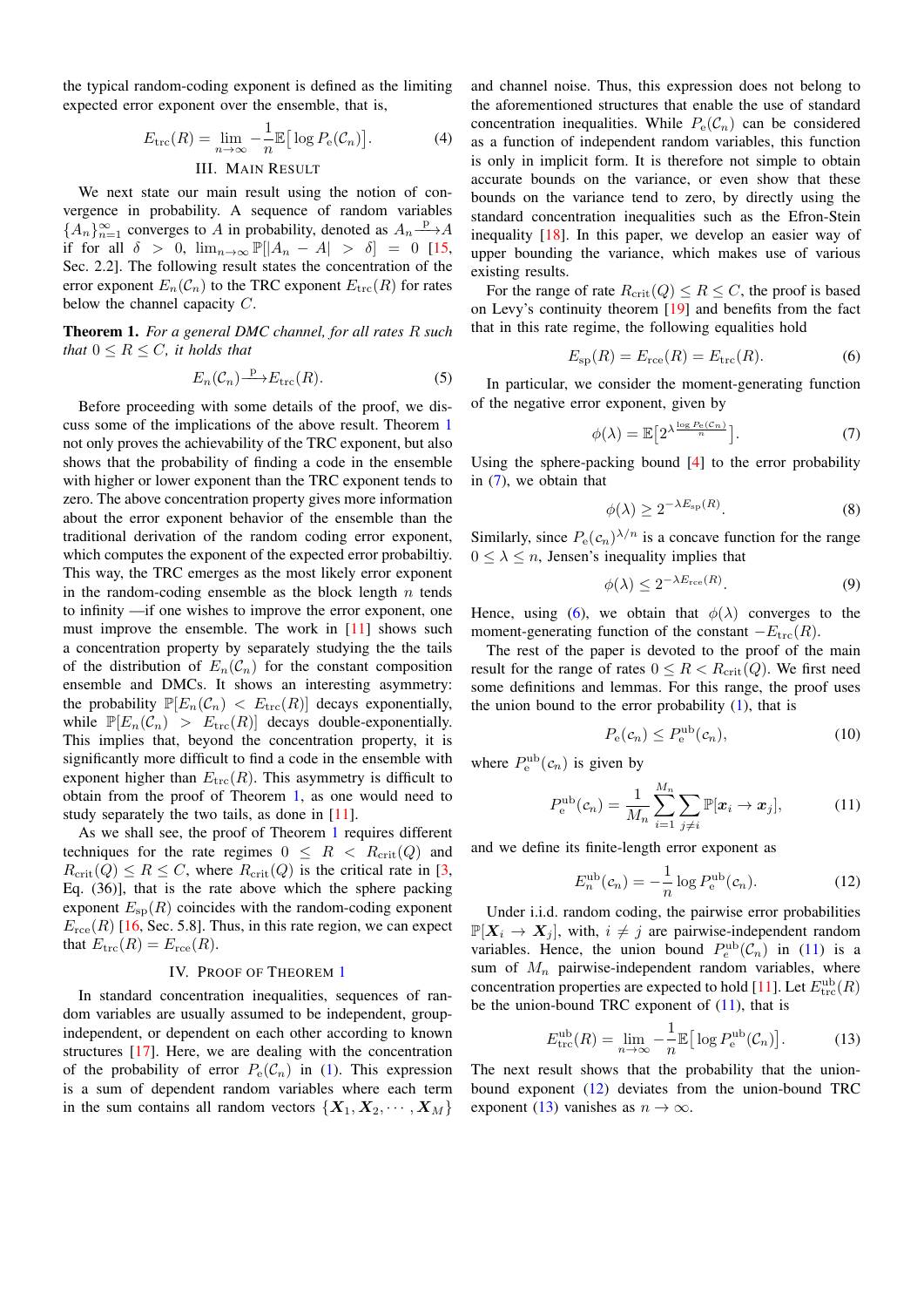the typical random-coding exponent is defined as the limiting expected error exponent over the ensemble, that is,

$$
E_{\text{trc}}(R) = \lim_{n \to \infty} -\frac{1}{n} \mathbb{E} \big[ \log P_e(\mathcal{C}_n) \big]. \tag{4}
$$

# III. MAIN RESULT

We next state our main result using the notion of convergence in probability. A sequence of random variables  ${A_n}_{n=1}^{\infty}$  converges to A in probability, denoted as  $A_n \longrightarrow A$ if for all  $\delta > 0$ ,  $\lim_{n\to\infty} \mathbb{P}[|A_n - A| > \delta] = 0$  [\[15,](#page-4-14) Sec. 2.2]. The following result states the concentration of the error exponent  $E_n(\mathcal{C}_n)$  to the TRC exponent  $E_{\text{trc}}(R)$  for rates below the channel capacity C.

<span id="page-1-0"></span>Theorem 1. *For a general DMC channel, for all rates* R *such that*  $0 \leq R \leq C$ *, it holds that* 

$$
E_n(\mathcal{C}_n) \xrightarrow{\mathcal{P}} E_{\text{trc}}(R). \tag{5}
$$

Before proceeding with some details of the proof, we discuss some of the implications of the above result. Theorem [1](#page-1-0) not only proves the achievability of the TRC exponent, but also shows that the probability of finding a code in the ensemble with higher or lower exponent than the TRC exponent tends to zero. The above concentration property gives more information about the error exponent behavior of the ensemble than the traditional derivation of the random coding error exponent, which computes the exponent of the expected error probabiltiy. This way, the TRC emerges as the most likely error exponent in the random-coding ensemble as the block length  $n$  tends to infinity —if one wishes to improve the error exponent, one must improve the ensemble. The work in [\[11\]](#page-4-10) shows such a concentration property by separately studying the the tails of the distribution of  $E_n(\mathcal{C}_n)$  for the constant composition ensemble and DMCs. It shows an interesting asymmetry: the probability  $\mathbb{P}[E_n(\mathcal{C}_n) < E_{\text{trc}}(R)]$  decays exponentially, while  $\mathbb{P}[E_n(\mathcal{C}_n) > E_{\text{trc}}(R)]$  decays double-exponentially. This implies that, beyond the concentration property, it is significantly more difficult to find a code in the ensemble with exponent higher than  $E_{\text{trc}}(R)$ . This asymmetry is difficult to obtain from the proof of Theorem [1,](#page-1-0) as one would need to study separately the two tails, as done in [\[11\]](#page-4-10).

As we shall see, the proof of Theorem [1](#page-1-0) requires different techniques for the rate regimes  $0 \leq R < R_{\rm crit}(Q)$  and  $R_{\rm crit}(Q) \le R \le C$ , where  $R_{\rm crit}(Q)$  is the critical rate in [\[3,](#page-4-2) Eq. (36)], that is the rate above which the sphere packing exponent  $E_{\rm sp}(R)$  coincides with the random-coding exponent  $E_{\text{rce}}(R)$  [\[16,](#page-4-15) Sec. 5.8]. Thus, in this rate region, we can expect that  $E_{\text{trc}}(R) = E_{\text{rce}}(R)$ .

#### IV. PROOF OF THEOREM [1](#page-1-0)

In standard concentration inequalities, sequences of random variables are usually assumed to be independent, groupindependent, or dependent on each other according to known structures [\[17\]](#page-4-16). Here, we are dealing with the concentration of the probability of error  $P_e(\mathcal{C}_n)$  in [\(1\)](#page-0-1). This expression is a sum of dependent random variables where each term in the sum contains all random vectors  $\{X_1, X_2, \dots, X_M\}$  and channel noise. Thus, this expression does not belong to the aforementioned structures that enable the use of standard concentration inequalities. While  $P_e(\mathcal{C}_n)$  can be considered as a function of independent random variables, this function is only in implicit form. It is therefore not simple to obtain accurate bounds on the variance, or even show that these bounds on the variance tend to zero, by directly using the standard concentration inequalities such as the Efron-Stein inequality [\[18\]](#page-4-17). In this paper, we develop an easier way of upper bounding the variance, which makes use of various existing results.

For the range of rate  $R_{\rm crit}(Q) \le R \le C$ , the proof is based on Levy's continuity theorem [\[19\]](#page-4-18) and benefits from the fact that in this rate regime, the following equalities hold

<span id="page-1-2"></span>
$$
E_{\rm sp}(R) = E_{\rm rce}(R) = E_{\rm trc}(R). \tag{6}
$$

<span id="page-1-6"></span>In particular, we consider the moment-generating function of the negative error exponent, given by

<span id="page-1-1"></span>
$$
\phi(\lambda) = \mathbb{E}\big[2^{\lambda \frac{\log P_e(\mathcal{C}_n)}{n}}\big].\tag{7}
$$

Using the sphere-packing bound [\[4\]](#page-4-3) to the error probability in [\(7\)](#page-1-1), we obtain that

$$
\phi(\lambda) \ge 2^{-\lambda E_{\text{sp}}(R)}.\tag{8}
$$

Similarly, since  $P_e(c_n)^{\lambda/n}$  is a concave function for the range  $0 \leq \lambda \leq n$ , Jensen's inequality implies that

<span id="page-1-8"></span>
$$
\phi(\lambda) \le 2^{-\lambda E_{\text{rce}}(R)}.\tag{9}
$$

Hence, using [\(6\)](#page-1-2), we obtain that  $\phi(\lambda)$  converges to the moment-generating function of the constant  $-E<sub>trc</sub>(R)$ .

The rest of the paper is devoted to the proof of the main result for the range of rates  $0 \leq R < R_{\rm crit}(Q)$ . We first need some definitions and lemmas. For this range, the proof uses the union bound to the error probability  $(1)$ , that is

<span id="page-1-7"></span><span id="page-1-3"></span>
$$
P_e(c_n) \le P_e^{\text{ub}}(c_n),\tag{10}
$$

where  $P_e^{\text{ub}}(c_n)$  is given by

$$
P_{\rm e}^{\rm ub}(c_n) = \frac{1}{M_n} \sum_{i=1}^{M_n} \sum_{j \neq i} \mathbb{P}[\boldsymbol{x}_i \to \boldsymbol{x}_j],\tag{11}
$$

and we define its finite-length error exponent as

<span id="page-1-4"></span>
$$
E_n^{\rm ub}(c_n) = -\frac{1}{n} \log P_{\rm e}^{\rm ub}(c_n). \tag{12}
$$

Under i.i.d. random coding, the pairwise error probabilities  $\mathbb{P}[X_i \to X_j]$ , with,  $i \neq j$  are pairwise-independent random variables. Hence, the union bound  $P_e^{\text{ub}}(\mathcal{C}_n)$  in [\(11\)](#page-1-3) is a sum of  $M_n$  pairwise-independent random variables, where concentration properties are expected to hold [\[11\]](#page-4-10). Let  $E_{\text{trc}}^{\text{ub}}(R)$ be the union-bound TRC exponent of  $(11)$ , that is

<span id="page-1-5"></span>
$$
E_{\text{trc}}^{\text{ub}}(R) = \lim_{n \to \infty} -\frac{1}{n} \mathbb{E} \big[ \log P_{\text{e}}^{\text{ub}}(\mathcal{C}_n) \big]. \tag{13}
$$

The next result shows that the probability that the unionbound exponent [\(12\)](#page-1-4) deviates from the union-bound TRC exponent [\(13\)](#page-1-5) vanishes as  $n \to \infty$ .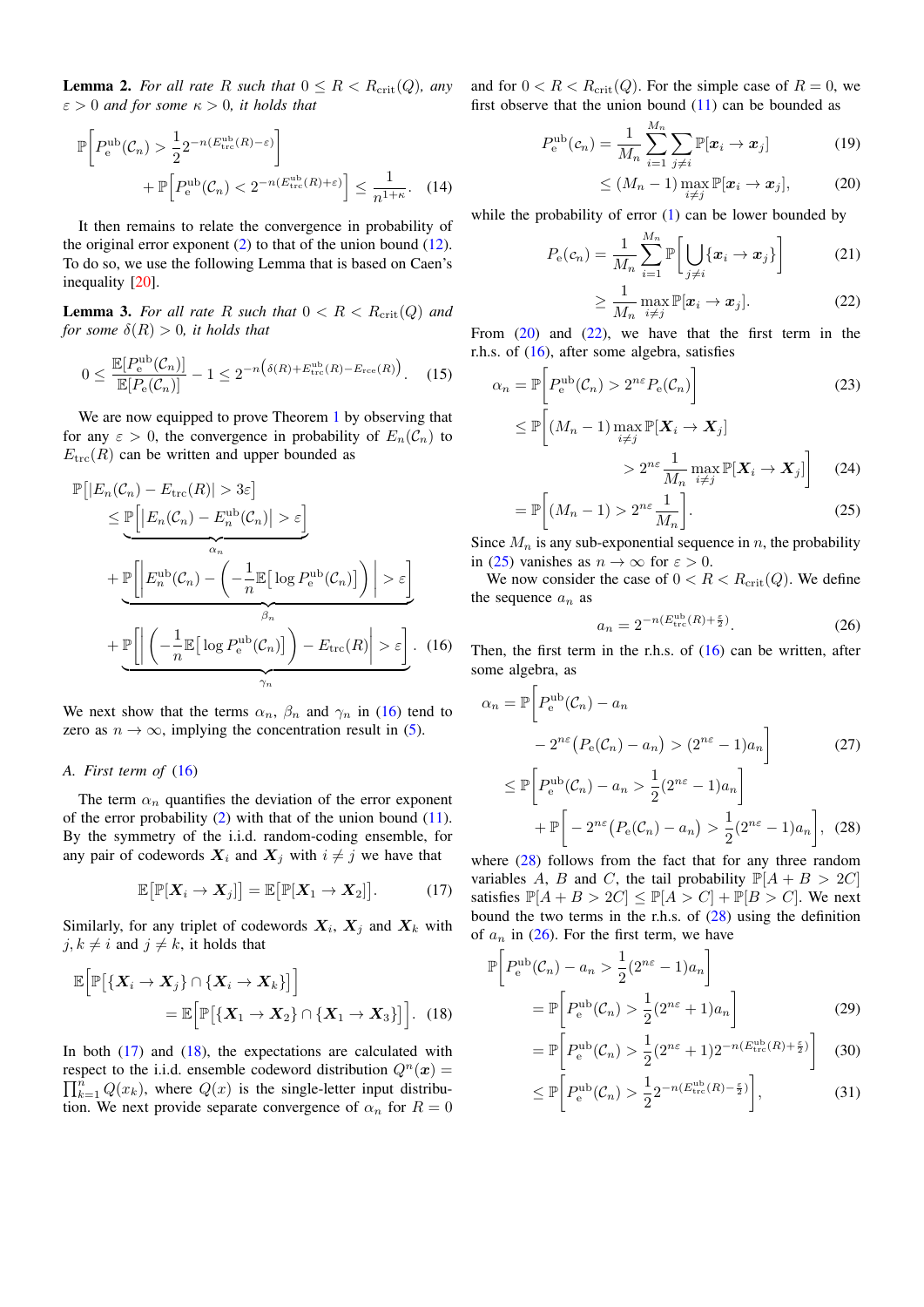<span id="page-2-10"></span>**Lemma 2.** For all rate R such that  $0 \leq R < R_{\text{crit}}(Q)$ , any  $\varepsilon > 0$  *and for some*  $\kappa > 0$ *, it holds that* 

$$
\mathbb{P}\bigg[P_{\mathrm{e}}^{\mathrm{ub}}(\mathcal{C}_n) > \frac{1}{2} 2^{-n(E_{\mathrm{trc}}^{\mathrm{ub}}(R) - \varepsilon)}\bigg] + \mathbb{P}\bigg[P_{\mathrm{e}}^{\mathrm{ub}}(\mathcal{C}_n) < 2^{-n(E_{\mathrm{trc}}^{\mathrm{ub}}(R) + \varepsilon)}\bigg] \le \frac{1}{n^{1+\kappa}}.\tag{14}
$$

It then remains to relate the convergence in probability of the original error exponent [\(2\)](#page-0-2) to that of the union bound [\(12\)](#page-1-4). To do so, we use the following Lemma that is based on Caen's inequality [\[20\]](#page-4-19).

<span id="page-2-8"></span>**Lemma 3.** For all rate R such that  $0 < R < R_{\text{crit}}(Q)$  and *for some*  $\delta(R) > 0$ *, it holds that* 

$$
0 \le \frac{\mathbb{E}[P_e^{\text{ub}}(\mathcal{C}_n)]}{\mathbb{E}[P_e(\mathcal{C}_n)]} - 1 \le 2^{-n(\delta(R) + E_{\text{trc}}^{\text{ub}}(R) - E_{\text{rce}}(R))}.
$$
 (15)

We are now equipped to prove Theorem [1](#page-1-0) by observing that for any  $\varepsilon > 0$ , the convergence in probability of  $E_n(\mathcal{C}_n)$  to  $E<sub>trc</sub>(R)$  can be written and upper bounded as

$$
\mathbb{P}\left[|E_n(\mathcal{C}_n) - E_{\text{trc}}(R)| > 3\varepsilon\right] \le \underbrace{\mathbb{P}\left[|E_n(\mathcal{C}_n) - E_n^{\text{ub}}(\mathcal{C}_n)| > \varepsilon\right]}_{\alpha_n} + \underbrace{\mathbb{P}\left[\left|E_n^{\text{ub}}(\mathcal{C}_n) - \left(-\frac{1}{n}\mathbb{E}\left[\log P_e^{\text{ub}}(\mathcal{C}_n)\right]\right)\right| > \varepsilon\right]}_{\beta_n} + \underbrace{\mathbb{P}\left[\left|\left(-\frac{1}{n}\mathbb{E}\left[\log P_e^{\text{ub}}(\mathcal{C}_n)\right]\right) - E_{\text{trc}}(R)\right| > \varepsilon\right]}_{\gamma_n}.
$$
(16)

We next show that the terms  $\alpha_n$ ,  $\beta_n$  and  $\gamma_n$  in [\(16\)](#page-2-0) tend to zero as  $n \to \infty$ , implying the concentration result in [\(5\)](#page-1-6).

# <span id="page-2-11"></span>*A. First term of* [\(16\)](#page-2-0)

The term  $\alpha_n$  quantifies the deviation of the error exponent of the error probability  $(2)$  with that of the union bound  $(11)$ . By the symmetry of the i.i.d. random-coding ensemble, for any pair of codewords  $X_i$  and  $X_j$  with  $i \neq j$  we have that

$$
\mathbb{E}\big[\mathbb{P}[X_i \to X_j]\big] = \mathbb{E}\big[\mathbb{P}[X_1 \to X_2]\big].\tag{17}
$$

Similarly, for any triplet of codewords  $X_i$ ,  $X_j$  and  $X_k$  with  $j, k \neq i$  and  $j \neq k$ , it holds that

$$
\mathbb{E}\Big[\mathbb{P}[\{X_i \to X_j\} \cap \{X_i \to X_k\}]\Big] \\
= \mathbb{E}\Big[\mathbb{P}[\{X_1 \to X_2\} \cap \{X_1 \to X_3\}]\Big].\tag{18}
$$

In both  $(17)$  and  $(18)$ , the expectations are calculated with respect to the i.i.d. ensemble codeword distribution  $Q^n(x) =$  $\prod_{k=1}^{n} Q(x_k)$ , where  $Q(x)$  is the single-letter input distribution. We next provide separate convergence of  $\alpha_n$  for  $R = 0$ 

and for  $0 < R < R_{\rm crit}(Q)$ . For the simple case of  $R = 0$ , we first observe that the union bound  $(11)$  can be bounded as

$$
P_{\rm e}^{\rm ub}(c_n) = \frac{1}{M_n} \sum_{i=1}^{M_n} \sum_{j \neq i} \mathbb{P}[\boldsymbol{x}_i \to \boldsymbol{x}_j]
$$
(19)

<span id="page-2-3"></span>
$$
\leq (M_n-1)\max_{i\neq j}\mathbb{P}[\boldsymbol{x}_i\to\boldsymbol{x}_j],\qquad(20)
$$

while the probability of error  $(1)$  can be lower bounded by

$$
P_{\mathbf{e}}(c_n) = \frac{1}{M_n} \sum_{i=1}^{M_n} \mathbb{P}\bigg[\bigcup_{j \neq i} \{x_i \to x_j\}\bigg]
$$
(21)

<span id="page-2-4"></span>
$$
\geq \frac{1}{M_n} \max_{i \neq j} \mathbb{P}[\boldsymbol{x}_i \to \boldsymbol{x}_j]. \tag{22}
$$

From  $(20)$  and  $(22)$ , we have that the first term in the r.h.s. of  $(16)$ , after some algebra, satisfies

$$
\alpha_n = \mathbb{P}\bigg[P_e^{\text{ub}}(\mathcal{C}_n) > 2^{n\varepsilon} P_e(\mathcal{C}_n)\bigg]
$$
  
\n
$$
\leq \mathbb{P}\bigg[(M_n - 1)\max_{i} \mathbb{P}[\mathbf{X}_i \to \mathbf{X}_j]\bigg]
$$
\n(23)

<span id="page-2-5"></span>
$$
\frac{1}{i+j} \ge 2^{n\varepsilon} \frac{1}{M_n} \max_{i \ne j} \mathbb{P}[X_i \to X_j] \quad (24)
$$

$$
= \mathbb{P}\bigg[ (M_n - 1) > 2^{n\varepsilon} \frac{1}{M_n} \bigg]. \tag{25}
$$

Since  $M_n$  is any sub-exponential sequence in n, the probability in [\(25\)](#page-2-5) vanishes as  $n \to \infty$  for  $\varepsilon > 0$ .

We now consider the case of  $0 < R < R<sub>crit</sub>(Q)$ . We define the sequence  $a_n$  as

<span id="page-2-7"></span><span id="page-2-6"></span>
$$
a_n = 2^{-n(E_{\text{trc}}^{\text{ub}}(R) + \frac{\varepsilon}{2})}.
$$
 (26)

<span id="page-2-0"></span>Then, the first term in the r.h.s. of  $(16)$  can be written, after some algebra, as

$$
\alpha_n = \mathbb{P}\bigg[P_e^{\text{ub}}(\mathcal{C}_n) - a_n
$$
  
- 2<sup>*n*ε</sup> $(P_e(\mathcal{C}_n) - a_n) > (2^{nε} - 1)a_n\bigg]$  (27)  

$$
\leq \mathbb{P}\bigg[P_e^{\text{ub}}(\mathcal{C}_n) - a_n > \frac{1}{2}(2^{nε} - 1)a_n\bigg]
$$

$$
+\mathbb{P}\bigg[-2^{n\varepsilon}\big(P_e(\mathcal{C}_n) - a_n\big) > \frac{1}{2}(2^{n\varepsilon} - 1)a_n\bigg],
$$
 (28)  
where (28) follows from the fact that for any three random

<span id="page-2-1"></span>variables A, B and C, the tail probability  $\mathbb{P}[A + B > 2C]$ satisfies  $\mathbb{P}[A + B > 2C] \le \mathbb{P}[A > C] + \mathbb{P}[B > C]$ . We next bound the two terms in the r.h.s. of [\(28\)](#page-2-6) using the definition of  $a_n$  in [\(26\)](#page-2-7). For the first term, we have

<span id="page-2-2"></span>
$$
\mathbb{P}\left[P_e^{\text{ub}}(\mathcal{C}_n) - a_n > \frac{1}{2}(2^{n\varepsilon} - 1)a_n\right] \\
= \mathbb{P}\left[P_e^{\text{ub}}(\mathcal{C}_n) > \frac{1}{2}(2^{n\varepsilon} + 1)a_n\right] \tag{29}
$$

$$
= \mathbb{P}\left[P_{\rm e}^{\rm ub}(\mathcal{C}_n) > \frac{1}{2}(2^{n\varepsilon} + 1)2^{-n(E_{\rm trc}^{\rm ub}(R) + \frac{\varepsilon}{2})}\right]
$$
(30)

<span id="page-2-9"></span>
$$
\leq \mathbb{P}\bigg[P_{\mathrm{e}}^{\mathrm{ub}}(\mathcal{C}_n) > \frac{1}{2} 2^{-n(E_{\mathrm{trc}}^{\mathrm{ub}}(R) - \frac{\varepsilon}{2})}\bigg],\tag{31}
$$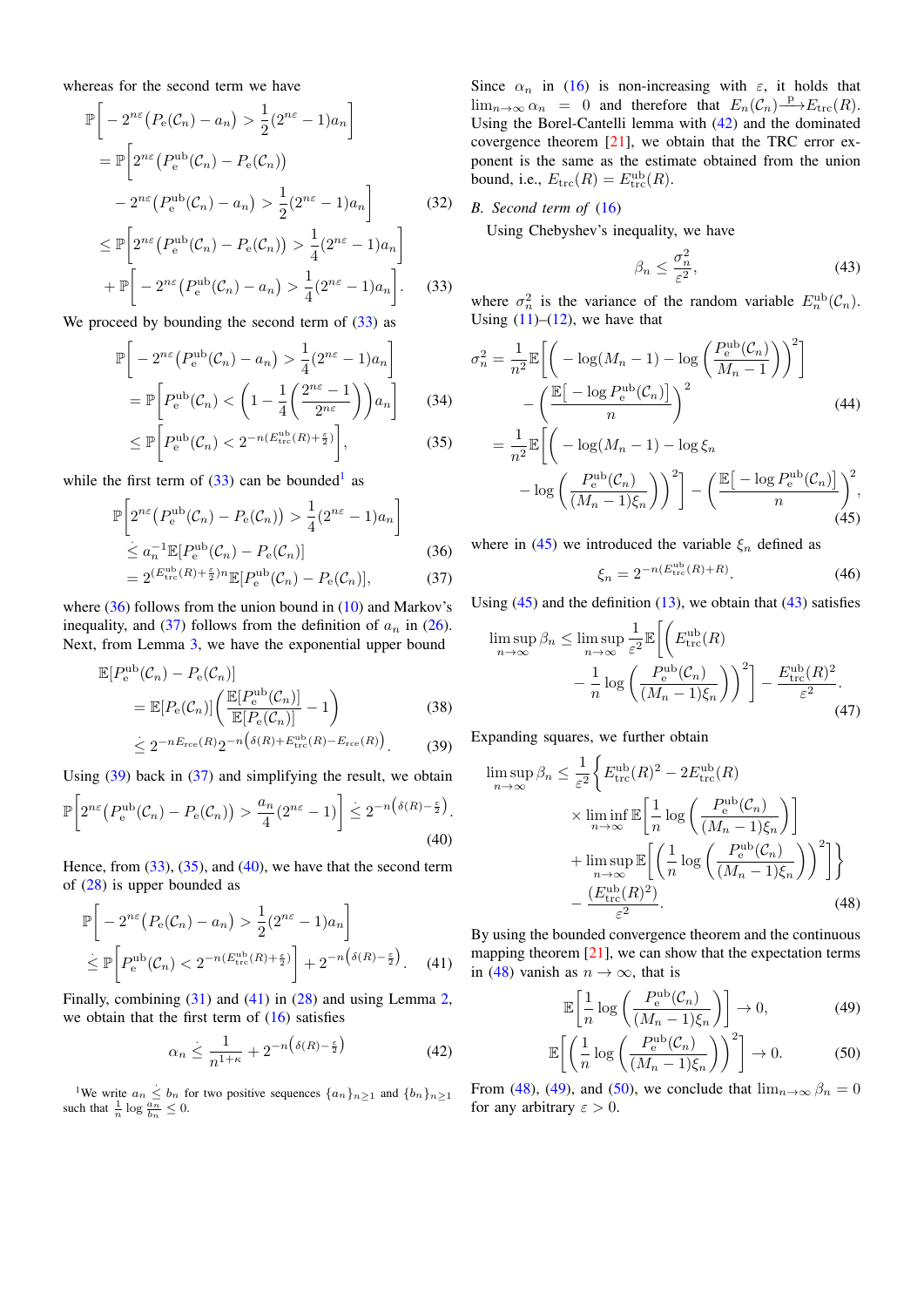whereas for the second term we have

$$
\mathbb{P}\left[-2^{n\varepsilon}\left(P_e(\mathcal{C}_n) - a_n\right) > \frac{1}{2}(2^{n\varepsilon} - 1)a_n\right] \\
= \mathbb{P}\left[2^{n\varepsilon}\left(P_e^{\text{ub}}(\mathcal{C}_n) - P_e(\mathcal{C}_n)\right) \\
- 2^{n\varepsilon}\left(P_e^{\text{ub}}(\mathcal{C}_n) - a_n\right) > \frac{1}{2}(2^{n\varepsilon} - 1)a_n\right] \\
\le \mathbb{P}\left[2^{n\varepsilon}\left(P_e^{\text{ub}}(\mathcal{C}_n) - P_e(\mathcal{C}_n)\right) > \frac{1}{4}(2^{n\varepsilon} - 1)a_n\right] \tag{32}
$$

$$
+\mathbb{P}\bigg[-2^{n\varepsilon}\big(P_{\mathrm{e}}^{\mathrm{ub}}(\mathcal{C}_n)-a_n\big)>\frac{1}{4}(2^{n\varepsilon}-1)a_n\bigg].\qquad(33)
$$

We proceed by bounding the second term of  $(33)$  as

$$
\mathbb{P}\left[-2^{n\varepsilon}\left(P_e^{\text{ub}}(\mathcal{C}_n) - a_n\right) > \frac{1}{4}(2^{n\varepsilon} - 1)a_n\right]
$$
\n
$$
= \mathbb{P}\left[P_e^{\text{ub}}(\mathcal{C}_n) < \left(1 - \frac{1}{4}\left(\frac{2^{n\varepsilon} - 1}{2^{n\varepsilon}}\right)\right)a_n\right] \tag{34}
$$
\n
$$
\leq \mathbb{P}\left[P_e^{\text{ub}}(\mathcal{C}_n) < 2^{-n(E_{\text{trc}}^{\text{ub}}(R) + \frac{\varepsilon}{2})}\right], \tag{35}
$$

while the first term of  $(33)$  can be bounded<sup>[1](#page-3-1)</sup> as

$$
\mathbb{P}\left[2^{n\varepsilon}\left(P_e^{\text{ub}}(\mathcal{C}_n) - P_e(\mathcal{C}_n)\right) > \frac{1}{4}(2^{n\varepsilon} - 1)a_n\right]
$$
  

$$
\leq a_n^{-1} \mathbb{E}[P_e^{\text{ub}}(\mathcal{C}_n) - P_e(\mathcal{C}_n)]
$$
 (36)

$$
=2^{(E_{\text{trc}}^{\text{ub}}(R)+\frac{\epsilon}{2})n}\mathbb{E}[P_{\text{e}}^{\text{ub}}(\mathcal{C}_n)-P_{\text{e}}(\mathcal{C}_n)],\tag{37}
$$

where  $(36)$  follows from the union bound in  $(10)$  and Markov's inequality, and [\(37\)](#page-3-3) follows from the definition of  $a_n$  in [\(26\)](#page-2-7). Next, from Lemma [3,](#page-2-8) we have the exponential upper bound

$$
\mathbb{E}[P_e^{\text{ub}}(\mathcal{C}_n) - P_e(\mathcal{C}_n)]
$$
  
= 
$$
\mathbb{E}[P_e(\mathcal{C}_n)] \left( \frac{\mathbb{E}[P_e^{\text{ub}}(\mathcal{C}_n)]}{\mathbb{E}[P_e(\mathcal{C}_n)]} - 1 \right)
$$
 (38)

$$
\leq 2^{-nE_{\text{rce}}(R)} 2^{-n \left(\delta(R) + E_{\text{tre}}^{\text{ub}}(R) - E_{\text{rce}}(R)\right)}.
$$
 (39)

Using [\(39\)](#page-3-4) back in [\(37\)](#page-3-3) and simplifying the result, we obtain

$$
\mathbb{P}\bigg[2^{n\varepsilon}\big(P_{\mathrm{e}}^{\mathrm{ub}}(\mathcal{C}_n) - P_{\mathrm{e}}(\mathcal{C}_n)\big) > \frac{a_n}{4}(2^{n\varepsilon} - 1)\bigg] \leq 2^{-n\big(\delta(R) - \frac{\varepsilon}{2}\big)}.\tag{40}
$$

Hence, from  $(33)$ ,  $(35)$ , and  $(40)$ , we have that the second term of [\(28\)](#page-2-6) is upper bounded as

$$
\mathbb{P}\left[-2^{n\varepsilon}\left(P_e(\mathcal{C}_n) - a_n\right) > \frac{1}{2}(2^{n\varepsilon} - 1)a_n\right] \\
\leq \mathbb{P}\left[P_e^{\text{ub}}(\mathcal{C}_n) < 2^{-n\left(E_{\text{trc}}^{\text{ub}}(R) + \frac{\varepsilon}{2}\right)}\right] + 2^{-n\left(\delta(R) - \frac{\varepsilon}{2}\right)}.\n\tag{41}
$$

Finally, combining [\(31\)](#page-2-9) and [\(41\)](#page-3-7) in [\(28\)](#page-2-6) and using Lemma [2,](#page-2-10) we obtain that the first term of  $(16)$  satisfies

$$
\alpha_n \le \frac{1}{n^{1+\kappa}} + 2^{-n\left(\delta(R) - \frac{\varepsilon}{2}\right)}\tag{42}
$$

<span id="page-3-1"></span><sup>1</sup>We write  $a_n \leq b_n$  for two positive sequences  $\{a_n\}_{n\geq 1}$  and  $\{b_n\}_{n\geq 1}$ such that  $\frac{1}{n} \log \frac{a_n}{b_n} \leq 0$ .

Since  $\alpha_n$  in [\(16\)](#page-2-0) is non-increasing with  $\varepsilon$ , it holds that  $\lim_{n\to\infty} \alpha_n = 0$  and therefore that  $E_n(\mathcal{C}_n) \longrightarrow E_{\text{trc}}(R)$ . Using the Borel-Cantelli lemma with [\(42\)](#page-3-8) and the dominated covergence theorem [\[21\]](#page-4-20), we obtain that the TRC error exponent is the same as the estimate obtained from the union bound, i.e.,  $E_{\text{trc}}(R) = E_{\text{trc}}^{\text{ub}}(R)$ .

# *B. Second term of* [\(16\)](#page-2-0)

Using Chebyshev's inequality, we have

<span id="page-3-10"></span>
$$
\beta_n \le \frac{\sigma_n^2}{\varepsilon^2},\tag{43}
$$

<span id="page-3-0"></span>where  $\sigma_n^2$  is the variance of the random variable  $E_n^{\text{ub}}(\mathcal{C}_n)$ . Using  $(11)$ – $(12)$ , we have that

<span id="page-3-5"></span>
$$
\sigma_n^2 = \frac{1}{n^2} \mathbb{E} \left[ \left( -\log(M_n - 1) - \log\left(\frac{P_e^{\text{ub}}(\mathcal{C}_n)}{M_n - 1}\right) \right)^2 \right]
$$

$$
- \left( \frac{\mathbb{E} \left[ -\log P_e^{\text{ub}}(\mathcal{C}_n) \right]}{n} \right)^2 \qquad (44)
$$

$$
= \frac{1}{n^2} \mathbb{E} \left[ \left( -\log(M_n - 1) - \log \xi_n \right) - \log\left(\frac{P_e^{\text{ub}}(\mathcal{C}_n)}{(M_n - 1)\xi_n}\right) \right)^2 \right] - \left( \frac{\mathbb{E} \left[ -\log P_e^{\text{ub}}(\mathcal{C}_n) \right]}{n} \right)^2,
$$

<span id="page-3-3"></span><span id="page-3-2"></span>where in [\(45\)](#page-3-9) we introduced the variable  $\xi_n$  defined as

$$
\xi_n = 2^{-n(E_{\text{trc}}^{\text{ub}}(R) + R)}.\tag{46}
$$

<span id="page-3-9"></span> $(45)$ 

Using  $(45)$  and the definition  $(13)$ , we obtain that  $(43)$  satisfies

$$
\limsup_{n \to \infty} \beta_n \le \limsup_{n \to \infty} \frac{1}{\varepsilon^2} \mathbb{E} \left[ \left( E_{\text{trc}}^{\text{ub}}(R) - \frac{1}{n} \log \left( \frac{P_e^{\text{ub}}(C_n)}{(M_n - 1)\xi_n} \right) \right)^2 \right] - \frac{E_{\text{trc}}^{\text{ub}}(R)^2}{\varepsilon^2}.
$$
\n(47)

<span id="page-3-4"></span>Expanding squares, we further obtain

<span id="page-3-6"></span>
$$
\limsup_{n \to \infty} \beta_n \le \frac{1}{\varepsilon^2} \Biggl\{ E_{\text{trc}}^{\text{ub}}(R)^2 - 2E_{\text{trc}}^{\text{ub}}(R) \times \liminf_{n \to \infty} \mathbb{E} \Biggl[ \frac{1}{n} \log \left( \frac{P_e^{\text{ub}}(\mathcal{C}_n)}{(M_n - 1)\xi_n} \right) \Biggr] + \limsup_{n \to \infty} \mathbb{E} \Biggl[ \left( \frac{1}{n} \log \left( \frac{P_e^{\text{ub}}(\mathcal{C}_n)}{(M_n - 1)\xi_n} \right) \right)^2 \Biggr] \Biggr\} - \frac{(E_{\text{trc}}^{\text{ub}}(R)^2)}{\varepsilon^2} . \tag{48}
$$

<span id="page-3-7"></span>By using the bounded convergence theorem and the continuous mapping theorem  $[21]$ , we can show that the expectation terms in [\(48\)](#page-3-11) vanish as  $n \to \infty$ , that is

<span id="page-3-13"></span><span id="page-3-12"></span><span id="page-3-11"></span>
$$
\mathbb{E}\left[\frac{1}{n}\log\left(\frac{P_e^{\text{ub}}(\mathcal{C}_n)}{(M_n-1)\xi_n}\right)\right] \to 0,\tag{49}
$$

$$
\mathbb{E}\bigg[\bigg(\frac{1}{n}\log\bigg(\frac{P_e^{\text{ub}}(\mathcal{C}_n)}{(M_n-1)\xi_n}\bigg)\bigg)^2\bigg] \to 0. \tag{50}
$$

<span id="page-3-8"></span>From [\(48\)](#page-3-11), [\(49\)](#page-3-12), and [\(50\)](#page-3-13), we conclude that  $\lim_{n\to\infty} \beta_n = 0$ for any arbitrary  $\varepsilon > 0$ .